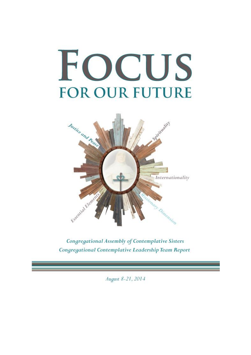# FOCUS **FOR OUR FUTURE**



Congregational Assembly of Contemplative Sisters Congregational Contemplative Leadership Team Report

August 8-21, 2014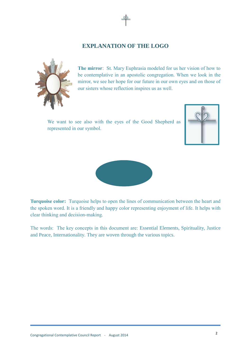### **EXPLANATION OF THE LOGO**



**The mirror**: St. Mary Euphrasia modeled for us her vision of how to be contemplative in an apostolic congregation. When we look in the mirror, we see her hope for our future in our own eyes and on those of our sisters whose reflection inspires us as well.

We want to see also with the eyes of the Good Shepherd as represented in our symbol.





**Turquoise color:** Turquoise helps to open the lines of communication between the heart and the spoken word. It is a friendly and happy color representing enjoyment of life. It helps with clear thinking and decision-making.

The words: The key concepts in this document are: Essential Elements, Spirituality, Justice and Peace, Internationality. They are woven through the various topics.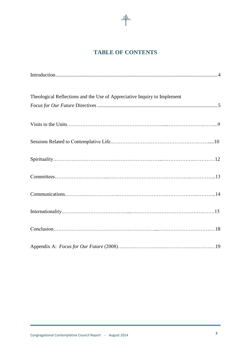# **TABLE OF CONTENTS**

 $\mathcal{S}^2$ 

| Theological Reflections and the Use of Appreciative Inquiry to Implement |
|--------------------------------------------------------------------------|
|                                                                          |
|                                                                          |
|                                                                          |
|                                                                          |
|                                                                          |
|                                                                          |
|                                                                          |
|                                                                          |
|                                                                          |
|                                                                          |
|                                                                          |
|                                                                          |
|                                                                          |
|                                                                          |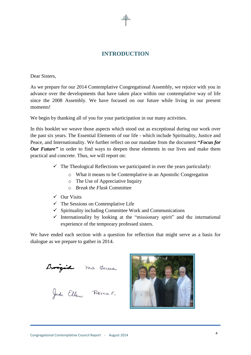# **INTRODUCTION**

Dear Sisters,

As we prepare for our 2014 Contemplative Congregational Assembly, we rejoice with you in advance over the developments that have taken place within our contemplative way of life since the 2008 Assembly. We have focused on our future while living in our present moments!

We begin by thanking all of you for your participation in our many activities.

In this booklet we weave those aspects which stood out as exceptional during our work over the past six years. The Essential Elements of our life - which include Spirituality, Justice and Peace, and Internationality. We further reflect on our mandate from the document **"***Focus for Our Future* in order to find ways to deepen these elements in our lives and make them practical and concrete. Thus, we will report on:

- $\checkmark$  The Theological Reflections we participated in over the years particularly:
	- o What it means to be Contemplative in an Apostolic Congregation
	- o The Use of Appreciative Inquiry
	- o *Break the Flask* Committee
- $\checkmark$  Our Visits
- $\checkmark$  The Sessions on Contemplative Life
- $\checkmark$  Spirituality including Committee Work and Communications
- $\checkmark$  Internationality by looking at the "missionary spirit" and the international experience of the temporary professed sisters.

We have ended each section with a question for reflection that might serve as a basis for dialogue as we prepare to gather in 2014.

Brigid ma Jeresa<br>Jude Ellen Reina E.

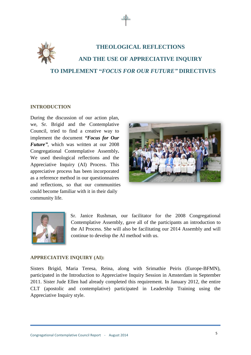

# **THEOLOGICAL REFLECTIONS AND THE USE OF APPRECIATIVE INQUIRY TO IMPLEMENT "***FOCUS FOR OUR FUTURE"* **DIRECTIVES**

#### **INTRODUCTION**

During the discussion of our action plan, we, Sr. Brigid and the Contemplative Council, tried to find a creative way to implement the document *"Focus for Our Future"*, which was written at our 2008 Congregational Contemplative Assembly**.** We used theological reflections and the Appreciative Inquiry (AI) Process. This appreciative process has been incorporated as a reference method in our questionnaires and reflections, so that our communities could become familiar with it in their daily community life.





Sr. Janice Rushman, our facilitator for the 2008 Congregational Contemplative Assembly, gave all of the participants an introduction to the AI Process. She will also be facilitating our 2014 Assembly and will continue to develop the AI method with us.

#### **APPRECIATIVE INQUIRY (AI):**

Sisters Brigid, Maria Teresa, Reina, along with Srimathie Peiris (Europe-BFMN), participated in the Introduction to Appreciative Inquiry Session in Amsterdam in September 2011. Sister Jude Ellen had already completed this requirement. In January 2012, the entire CLT (apostolic and contemplative) participated in Leadership Training using the Appreciative Inquiry style.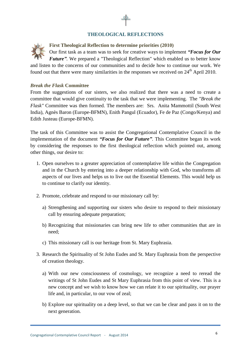#### **THEOLOGICAL REFLECTIONS**

**First Theological Reflection to determine priorities (2010)** Our first task as a team was to seek for creative ways to implement *"Focus for Our Future".* We prepared a "Theological Reflection" which enabled us to better know and listen to the concerns of our communities and to decide how to continue our work. We found out that there were many similarities in the responses we received on  $24<sup>th</sup>$  April 2010.

#### *Break the Flask* **Committee**

From the suggestions of our sisters, we also realized that there was a need to create a committee that would give continuity to the task that we were implementing. The *"Break the Flask"* Committee was then formed. The members are: Srs. Anita Mammottil (South West India), Agnès Baron (Europe-BFMN), Enith Pangul (Ecuador), Fe de Paz (Congo/Kenya) and Edith Justeau (Europe-BFMN).

The task of this Committee was to assist the Congregational Contemplative Council in the implementation of the document *"Focus for Our Future"*. This Committee began its work by considering the responses to the first theological reflection which pointed out, among other things, our desire to:

- 1. Open ourselves to a greater appreciation of contemplative life within the Congregation and in the Church by entering into a deeper relationship with God, who transforms all aspects of our lives and helps us to live out the Essential Elements. This would help us to continue to clarify our identity.
- 2. Promote, celebrate and respond to our missionary call by:
	- a) Strengthening and supporting our sisters who desire to respond to their missionary call by ensuring adequate preparation;
	- b) Recognizing that missionaries can bring new life to other communities that are in need;
	- c) This missionary call is our heritage from St. Mary Euphrasia.
- 3. Research the Spirituality of St John Eudes and St. Mary Euphrasia from the perspective of creation theology.
	- a) With our new consciousness of cosmology, we recognize a need to reread the writings of St John Eudes and St Mary Euphrasia from this point of view. This is a new concept and we wish to know how we can relate it to our spirituality, our prayer life and, in particular, to our vow of zeal;
	- b) Explore our spirituality on a deep level, so that we can be clear and pass it on to the next generation.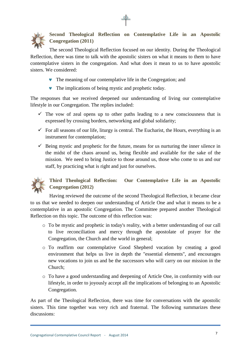

**Second Theological Reflection on Contemplative Life in an Apostolic Congregation (2011)**

The second Theological Reflection focused on our identity. During the Theological Reflection, there was time to talk with the apostolic sisters on what it means to them to have contemplative sisters in the congregation. And what does it mean to us to have apostolic sisters. We considered:

- The meaning of our contemplative life in the Congregation; and
- The implications of being mystic and prophetic today.

The responses that we received deepened our understanding of living our contemplative lifestyle in our Congregation. The replies included:

- $\checkmark$  The vow of zeal opens up to other paths leading to a new consciousness that is expressed by crossing borders, networking and global solidarity;
- $\checkmark$  For all seasons of our life, liturgy is central. The Eucharist, the Hours, everything is an instrument for contemplation;
- $\checkmark$  Being mystic and prophetic for the future, means for us nurturing the inner silence in the midst of the chaos around us, being flexible and available for the sake of the mission. We need to bring Justice to those around us, those who come to us and our staff, by practicing what is right and just for ourselves.



## **Third Theological Reflection: Our Contemplative Life in an Apostolic Congregation (2012)**

Having reviewed the outcome of the second Theological Reflection, it became clear to us that we needed to deepen our understanding of Article One and what it means to be a contemplative in an apostolic Congregation. The Committee prepared another Theological Reflection on this topic. The outcome of this reflection was:

- o To be mystic and prophetic in today's reality, with a better understanding of our call to live reconciliation and mercy through the apostolate of prayer for the Congregation, the Church and the world in general;
- o To reaffirm our contemplative Good Shepherd vocation by creating a good environment that helps us live in depth the "essential elements", and encourages new vocations to join us and be the successors who will carry on our mission in the Church;
- o To have a good understanding and deepening of Article One, in conformity with our lifestyle, in order to joyously accept all the implications of belonging to an Apostolic Congregation.

As part of the Theological Reflection, there was time for conversations with the apostolic sisters. This time together was very rich and fraternal. The following summarizes these discussions: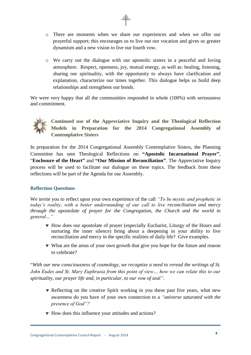- o There are moments when we share our experiences and when we offer our prayerful support; this encourages us to live out our vocation and gives us greater dynamism and a new vision to live our fourth vow.
- o We carry out the dialogue with our apostolic sisters in a peaceful and loving atmosphere. Respect, openness, joy, mutual energy, as well as: healing, listening, sharing our spirituality, with the opportunity to always have clarification and explanation, characterize our times together. This dialogue helps us build deep relationships and strengthens our bonds.

We were very happy that all the communities responded in whole (100%) with seriousness and commitment.



**Continued use of the Appreciative Inquiry and the Theological Reflection Models in Preparation for the 2014 Congregational Assembly of Contemplative Sisters**

In preparation for the 2014 Congregational Assembly Contemplative Sisters, the Planning Committee has sent Theological Reflections on **"Apostolic Incarnational Prayer"**, "**Enclosure of the Heart"** and **"Our Mission of Reconciliation"**. The Appreciative Inquiry process will be used to facilitate our dialogue on these topics. The feedback from these reflections will be part of the Agenda for our Assembly.

#### **Reflection Questions**

We invite you to reflect upon your own experience of the call *"To be mystic and prophetic in today's reality, with a better understanding of our call to live reconciliation and mercy through the apostolate of prayer for the Congregation, the Church and the world in general…"*

- How does our apostolate of prayer (especially Eucharist, Liturgy of the Hours and nurturing the inner silence) bring about a deepening in your ability to live reconciliation and mercy in the specific realities of daily life? Give examples.
- What are the areas of your own growth that give you hope for the future and reason to celebrate?

"*With our new consciousness of cosmology, we recognize a need to reread the writings of St. John Eudes and St. Mary Euphrasia from this point of view… how we can relate this to our spirituality, our prayer life and, in particular, to our vow of zeal".*

- Reflecting on the creative Spirit working in you these past five years, what new awareness do you have of your own connection to a *"universe saturated with the presence of God"?*
- How does this influence your attitudes and actions?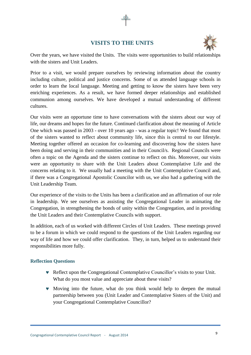# **VISITS TO THE UNITS**



Over the years, we have visited the Units. The visits were opportunities to build relationships with the sisters and Unit Leaders.

Prior to a visit, we would prepare ourselves by reviewing information about the country including culture, political and justice concerns. Some of us attended language schools in order to learn the local language. Meeting and getting to know the sisters have been very enriching experiences. As a result, we have formed deeper relationships and established communion among ourselves. We have developed a mutual understanding of different cultures.

Our visits were an opportune time to have conversations with the sisters about our way of life, our dreams and hopes for the future. Continued clarification about the meaning of Article One which was passed in 2003 - over 10 years ago - was a regular topic! We found that most of the sisters wanted to reflect about community life, since this is central to our lifestyle. Meeting together offered an occasion for co-learning and discovering how the sisters have been doing and serving in their communities and in their Council/s. Regional Councils were often a topic on the Agenda and the sisters continue to reflect on this. Moreover, our visits were an opportunity to share with the Unit Leaders about Contemplative Life and the concerns relating to it. We usually had a meeting with the Unit Contemplative Council and, if there was a Congregational Apostolic Councilor with us, we also had a gathering with the Unit Leadership Team.

Our experience of the visits to the Units has been a clarification and an affirmation of our role in leadership. We see ourselves as assisting the Congregational Leader in animating the Congregation, in strengthening the bonds of unity within the Congregation, and in providing the Unit Leaders and their Contemplative Councils with support.

In addition, each of us worked with different Circles of Unit Leaders. These meetings proved to be a forum in which we could respond to the questions of the Unit Leaders regarding our way of life and how we could offer clarification. They, in turn, helped us to understand their responsibilities more fully.

#### **Reflection Questions**

- Reflect upon the Congregational Contemplative Councillor's visits to your Unit. What do you most value and appreciate about these visits?
- Moving into the future, what do you think would help to deepen the mutual partnership between you (Unit Leader and Contemplative Sisters of the Unit) and your Congregational Contemplative Councillor?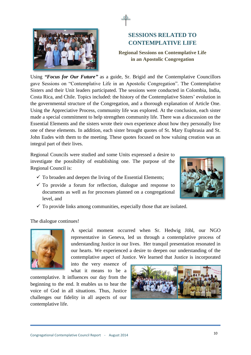

# **SESSIONS RELATED TO CONTEMPLATIVE LIFE**

**Regional Sessions on Contemplative Life in an Apostolic Congregation**

Using *"Focus for Our Future"* as a guide, Sr. Brigid and the Contemplative Councillors gave Sessions on "Contemplative Life in an Apostolic Congregation". The Contemplative Sisters and their Unit leaders participated. The sessions were conducted in Colombia, India, Costa Rica, and Chile. Topics included: the history of the Contemplative Sisters' evolution in the governmental structure of the Congregation, and a thorough explanation of Article One. Using the Appreciative Process, community life was explored. At the conclusion, each sister made a special commitment to help strengthen community life. There was a discussion on the Essential Elements and the sisters wrote their own experience about how they personally live one of these elements. In addition, each sister brought quotes of St. Mary Euphrasia and St. John Eudes with them to the meeting. These quotes focused on how valuing creation was an integral part of their lives.

Regional Councils were studied and some Units expressed a desire to investigate the possibility of establishing one. The purpose of the Regional Council is:

- $\checkmark$  To broaden and deepen the living of the Essential Elements;
- $\checkmark$  To provide a forum for reflection, dialogue and response to documents as well as for processes planned on a congregational level, and



 $\checkmark$  To provide links among communities, especially those that are isolated.

The dialogue continues!



A special moment occurred when Sr. Hedwig Jöhl, our NGO representative in Geneva, led us through a contemplative process of understanding Justice in our lives. Her tranquil presentation resonated in our hearts. We experienced a desire to deepen our understanding of the contemplative aspect of Justice. We learned that Justice is incorporated

into the very essence of what it means to be a

contemplative. It influences our day from the beginning to the end. It enables us to hear the voice of God in all situations. Thus, Justice challenges our fidelity in all aspects of our contemplative life.

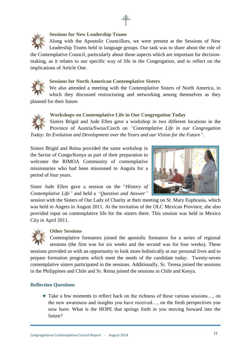

#### **Sessions for New Leadership Teams**

Along with the Apostolic Councillors, we were present at the Sessions of New Leadership Teams held in language groups. Our task was to share about the role of the Contemplative Council, particularly about those aspects which are important for decisionmaking, as it relates to our specific way of life in the Congregation, and to reflect on the implications of Article One.



#### **Sessions for North American Contemplative Sisters**

We also attended a meeting with the Contemplative Sisters of North America, in which they discussed restructuring and networking among themselves as they planned for their future.



#### **Workshops on Contemplative Life in Our Congregation Today**

Sisters Brigid and Jude Ellen gave a workshop in two different locations in the Province of Austria/Swiss/Czech on *"Contemplative Life in our Congregation Today: Its Evolution and Development over the Years and our Vision for the Future".*

Sisters Brigid and Reina provided the same workshop in the Sector of Congo/Kenya as part of their preparation to welcome the RIMOA Community of contemplative missionaries who had been missioned to Angola for a period of four years.



Sister Jude Ellen gave a session on the "*History of Contemplative Life"* and held a *"Question and Answer"*

session with the Sisters of Our Lady of Charity at their meeting on St. Mary Euphrasia, which was held in Angers in August 2011. At the invitation of the OLC Mexican Province, she also provided input on contemplative life for the sisters there. This session was held in Mexico City in April 2011.



#### **Other Sessions**

Contemplative formators joined the apostolic formators for a series of regional sessions (the first was for six weeks and the second was for four weeks). These sessions provided us with an opportunity to look more holistically at our personal lives and to prepare formation programs which meet the needs of the candidate today. Twenty-seven contemplative sisters participated in the sessions. Additionally, Sr. Teresa joined the sessions in the Philippines and Chile and Sr. Reina joined the sessions in Chile and Kenya.

#### **Reflection Questions**

 Take a few moments to reflect back on the richness of these various sessions…, on the new awareness and insights you have received…, on the fresh perspectives you now have. What is the HOPE that springs forth in you moving forward into the future?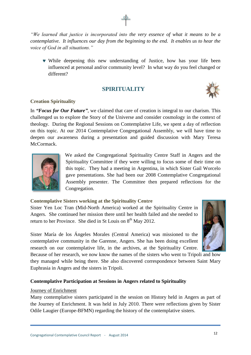*"We learned that justice is incorporated into the very essence of what it means to be a contemplative. It influences our day from the beginning to the end. It enables us to hear the voice of God in all situations."*

 While deepening this new understanding of Justice, how has your life been influenced at personal and/or community level? In what way do you feel changed or different?

# **SPIRITUALITY**



#### **Creation Spirituality**

In *"Focus for Our Future"*, we claimed that care of creation is integral to our charism. This challenged us to explore the Story of the Universe and consider cosmology in the context of theology. During the Regional Sessions on Contemplative Life, we spent a day of reflection on this topic. At our 2014 Contemplative Congregational Assembly, we will have time to deepen our awareness during a presentation and guided discussion with Mary Teresa McCormack.



We asked the Congregational Spirituality Centre Staff in Angers and the Spirituality Committee if they were willing to focus some of their time on this topic. They had a meeting in Argentina, in which Sister Gail Worcelo gave presentations. She had been our 2008 Contemplative Congregational Assembly presenter. The Committee then prepared reflections for the Congregation.

#### **Contemplative Sisters working at the Spirituality Centre**

Sister Yen Loc Tran (Mid-North America) worked at the Spirituality Centre in Angers. She continued her mission there until her health failed and she needed to return to her Province. She died in St Louis on  $8<sup>th</sup>$  May 2012.



Sister María de los Ángeles Morales (Central America) was missioned to the contemplative community in the Garenne, Angers. She has been doing excellent research on our contemplative life, in the archives, at the Spirituality Centre.

Because of her research, we now know the names of the sisters who went to Tripoli and how they managed while being there. She also discovered correspondence between Saint Mary Euphrasia in Angers and the sisters in Tripoli.

#### **Contemplative Participation at Sessions in Angers related to Spirituality**

#### Journey of Enrichment

Many contemplative sisters participated in the session on History held in Angers as part of the Journey of Enrichment. It was held in July 2010. There were reflections given by Sister Odile Laugier (Europe-BFMN) regarding the history of the contemplative sisters.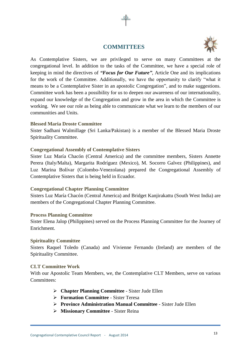#### **COMMITTEES**



As Contemplative Sisters, we are privileged to serve on many Committees at the congregational level. In addition to the tasks of the Committee, we have a special role of keeping in mind the directives of *"Focus for Our Future"*, Article One and its implications for the work of the Committee. Additionally, we have the opportunity to clarify "what it means to be a Contemplative Sister in an apostolic Congregation", and to make suggestions. Committee work has been a possibility for us to deepen our awareness of our internationality, expand our knowledge of the Congregation and grow in the area in which the Committee is working. We see our role as being able to communicate what we learn to the members of our communities and Units.

#### **Blessed Maria Droste Committee**

Sister Sadhani Walmillage (Sri Lanka/Pakistan) is a member of the Blessed Maria Droste Spirituality Committee.

#### **Congregational Assembly of Contemplative Sisters**

Sister Luz María Chacón (Central America) and the committee members, Sisters Annette Perera (Italy/Malta), Margarita Rodríguez (Mexico), M. Socorro Galvez (Philippines), and Luz Marina Bolívar (Colombo-Venezolana) prepared the Congregational Assembly of Contemplative Sisters that is being held in Ecuador.

#### **Congregational Chapter Planning Committee**

Sisters Luz María Chacón (Central America) and Bridget Kanjirakattu (South West India) are members of the Congregational Chapter Planning Committee.

#### **Process Planning Committee**

Sister Elena Jalop (Philippines) served on the Process Planning Committee for the Journey of Enrichment.

#### **Spirituality Committee**

Sisters Raquel Toledo (Canada) and Vivienne Fernando (Ireland) are members of the Spirituality Committee.

#### **CLT Committee Work**

With our Apostolic Team Members, we, the Contemplative CLT Members, serve on various Committees:

- **Chapter Planning Committee** Sister Jude Ellen
- **Formation Committee** Sister Teresa
- **Province Administration Manual Committee** Sister Jude Ellen
- **Missionary Committee** Sister Reina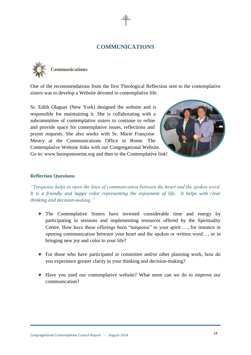#### **COMMUNICATIONS**



One of the recommendations from the first Theological Reflection sent to the contemplative sisters was to develop a Website devoted to contemplative life.

Sr. Edith Olaguer (New York) designed the website and is responsible for maintaining it. She is collaborating with a subcommittee of contemplative sisters to continue to refine and provide space for contemplative issues, reflections and prayer requests. She also works with Sr. Marie Françoise Mestry at the Communications Office in Rome. The Contemplative Website links with our Congregational Website. Go to: [www.buonpastoreint.org](http://www.buonpastoreint.org/) and then to the Contemplative link!



#### **Reflection Questions**

*"Turquoise helps to open the lines of communication between the heart and the spoken word. It is a friendly and happy color representing the enjoyment of life. It helps with clear thinking and decision-making."*

- The Contemplative Sisters have invested considerable time and energy by participating in sessions and implementing resources offered by the Spirituality Centre. How have these offerings been "turquoise" to your spirit …, for instance in opening communication between your heart and the spoken or written word…, or in bringing new joy and color to your life?
- For those who have participated in committee and/or other planning work, how do you experience greater clarity in your thinking and decision-making?
- Have you used our contemplative website? What more can we do to improve our communication?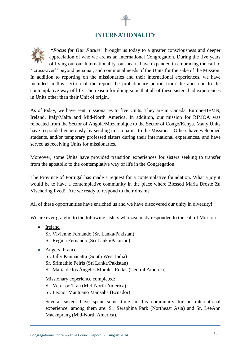# **INTERNATIONALITY**

*"Focus for Our Future"* brought us today to a greater consciousness and deeper appreciation of who we are as an International Congregation. During the five years of living out our Internationality, our hearts have expanded in embracing the call to ''cross-over'' beyond personal, and communal needs of the Units for the sake of the Mission. In addition to reporting on the missionaries and their international experiences, we have included in this section of the report the probationary period from the apostolic to the contemplative way of life. The reason for doing so is that all of these sisters had experiences in Units other than their Unit of origin.

As of today, we have sent missionaries to five Units. They are in Canada, Europe-BFMN, Ireland, Italy/Malta and Mid-North America. In addition, our mission for RIMOA was relocated from the Sector of Angola/Mozambique to the Sector of Congo/Kenya. Many Units have responded generously by sending missionaries to the Missions. Others have welcomed students, and/or temporary professed sisters during their international experiences, and have served as receiving Units for missionaries.

Moreover, some Units have provided transition experiences for sisters seeking to transfer from the apostolic to the contemplative way of life in the Congregation.

The Province of Portugal has made a request for a contemplative foundation. What a joy it would be to have a contemplative community in the place where Blessed Maria Droste Zu Vischering lived! Are we ready to respond to their dream?

All of these opportunities have enriched us and we have discovered our unity in diversity!

We are ever grateful to the following sisters who zealously responded to the call of Mission.

- Ireland Sr. Vivienne Fernando (Sr. Lanka/Pakistan) Sr. Regina Fernando (Sri Lanka/Pakistan)
- Angers, France Sr. Lilly Kunnanattu (South West India) Sr. Srimathie Peiris (Sri Lanka/Pakistan) Sr. María de los Ángeles Morales Rodas (Central America)

Missionary experience completed: Sr. Yen Loc Tran (Mid-North America) Sr. Leonor Mantuano Manzaba (Ecuador)

Several sisters have spent some time in this community for an international experience; among them are: Sr. Seraphina Park (Northeast Asia) and Sr. LeeAnn Mackeprang (Mid-North America).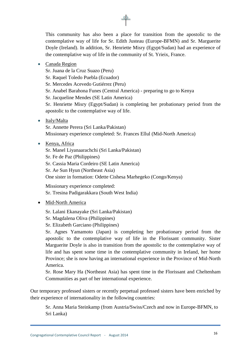This community has also been a place for transition from the apostolic to the contemplative way of life for Sr. Edith Justeau (Europe-BFMN) and Sr. Marguerite Doyle (Ireland). In addition, Sr. Henriette Misry (Egypt/Sudan) had an experience of the contemplative way of life in the community of St. Yrieix, France.

Canada Region

Sr. Juana de la Cruz Suazo (Peru)

Sr. Raquel Toledo Puebla (Ecuador)

Sr. Mercedes Acevedo Gutiérrez (Peru)

Sr. Anabel Barahona Funes (Central America) - preparing to go to Kenya

Sr. Jacqueline Mendes (SE Latin America)

Sr. Henriette Misry (Egypt/Sudan) is completing her probationary period from the apostolic to the contemplative way of life.

• Italy/Malta

Sr. Annette Perera (Sri Lanka/Pakistan) Missionary experience completed: Sr. Frances Ellul (Mid-North America)

• Kenya, Africa

Sr. Manel Liyanaarachchi (Sri Lanka/Pakistan) Sr. Fe de Paz (Philippines) Sr. Cassia Maria Cordeiro (SE Latin America) Sr. Ae Sun Hyun (Northeast Asia) One sister in formation: Odette Cishesa Marhegeko (Congo/Kenya)

Missionary experience completed: Sr. Tresina Padigarakkara (South West India)

- Mid-North America
	- Sr. Lalani Ekanayake (Sri Lanka/Pakistan)
	- Sr. Magdalena Oliva (Philippines)
	- Sr. Elizabeth Garciano (Philippines)

Sr. Agnes Yamamoto (Japan) is completing her probationary period from the apostolic to the contemplative way of life in the Florissant community. Sister Marguerite Doyle is also in transition from the apostolic to the contemplative way of life and has spent some time in the contemplative community in Ireland, her home Province; she is now having an international experience in the Province of Mid-North America.

Sr. Rose Mary Ha (Northeast Asia) has spent time in the Florissant and Cheltenham Communities as part of her international experience.

Our temporary professed sisters or recently perpetual professed sisters have been enriched by their experience of internationality in the following countries:

Sr. Anna Maria Steinkamp (from Austria/Swiss/Czech and now in Europe-BFMN, to Sri Lanka)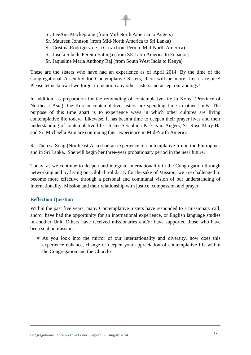- Sr. LeeAnn Mackeprang (from Mid-North America to Angers)
- Sr. Maureen Johnson (from Mid-North America to Sri Lanka)
- Sr. Cristina Rodríguez de la Cruz (from Peru to Mid-North America)
- Sr. Josefa Sibelle Pereira Batinga (from SE Latin America to Ecuador)
- Sr. Jaqueline Maria Anthony Raj (from South West India to Kenya)

These are the sisters who have had an experience as of April 2014. By the time of the Congregational Assembly for Contemplative Sisters, there will be more. Let us rejoice! Please let us know if we forgot to mention any other sisters and accept our apology!

In addition, as preparation for the refounding of contemplative life in Korea (Province of Northeast Asia), the Korean contemplative sisters are spending time in other Units. The purpose of this time apart is to experience ways in which other cultures are living contemplative life today. Likewise, it has been a time to deepen their prayer lives and their understanding of contemplative life. Sister Seraphina Park is in Angers, Sr. Rose Mary Ha and Sr. Michaella Kim are continuing their experience in Mid-North America.

Sr. Theresa Song (Northeast Asia) had an experience of contemplative life in the Philippines and in Sri Lanka. She will begin her three-year probationary period in the near future.

Today, as we continue to deepen and integrate Internationality in the Congregation through networking and by living out Global Solidarity for the sake of Mission, we are challenged to become more effective through a personal and communal vision of our understanding of Internationality, Mission and their relationship with justice, compassion and prayer.

#### **Reflection Question**

Within the past five years, many Contemplative Sisters have responded to a missionary call, and/or have had the opportunity for an international experience, or English language studies in another Unit. Others have received missionaries and/or have supported those who have been sent on mission.

 As you look into the mirror of our internationality and diversity, how does this experience enhance, change or deepen your appreciation of contemplative life within the Congregation and the Church?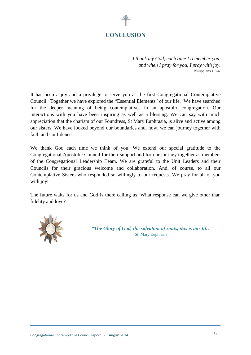# **CONCLUSION**

*I thank my God, each time I remember you, and when I pray for you, I pray with joy.* Philippians 1:3-4.

It has been a joy and a privilege to serve you as the first Congregational Contemplative Council. Together we have explored the "Essential Elements" of our life. We have searched for the deeper meaning of being contemplatives in an apostolic congregation. Our interactions with you have been inspiring as well as a blessing. We can say with much appreciation that the charism of our Foundress, St Mary Euphrasia, is alive and active among our sisters. We have looked beyond our boundaries and, now, we can journey together with faith and confidence.

We thank God each time we think of you. We extend our special gratitude to the Congregational Apostolic Council for their support and for our journey together as members of the Congregational Leadership Team. We are grateful to the Unit Leaders and their Councils for their gracious welcome and collaboration. And, of course, to all our Contemplative Sisters who responded so willingly to our requests. We pray for all of you with joy!

The future waits for us and God is there calling us. What response can we give other than fidelity and love?



*"The Glory of God, the salvation of souls, this is our life."* St. Mary Euphrasia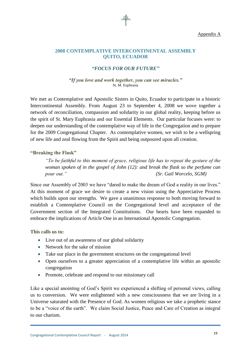#### **2008 CONTEMPLATIVE INTERCONTINENTAL ASSEMBLY QUITO, ECUADOR**

#### *"FOCUS FOR OUR FUTURE"*

#### *"If you love and work together, you can see miracles."*  St. M. Euphrasia

We met as Contemplative and Apostolic Sisters in Quito, Ecuador to participate in a historic Intercontinental Assembly. From August 23 to September 4, 2008 we wove together a network of reconciliation, compassion and solidarity in our global reality, keeping before us the spirit of St. Mary Euphrasia and our Essential Elements. Our particular focuses were: to deepen our understanding of the contemplative way of life in the Congregation and to prepare for the 2009 Congregational Chapter. As contemplative women, we wish to be a wellspring of new life and zeal flowing from the Spirit and being outpoured upon all creation.

#### **"Breaking the Flask"**

*"To be faithful to this moment of grace, religious life has to repeat the gesture of the woman spoken of in the gospel of John (12): and break the flask so the perfume can pour out." (Sr. Gail Worcelo, SGM)*

Since our Assembly of 2003 we have "dared to make the dream of God a reality in our lives." At this moment of grace we desire to create a new vision using the Appreciative Process which builds upon our strengths. We gave a unanimous response to both moving forward to establish a Contemplative Council on the Congregational level and acceptance of the Government section of the Integrated Constitutions. Our hearts have been expanded to embrace the implications of Article One in an International Apostolic Congregation.

**This calls us to:**

- Live out of an awareness of our global solidarity
- Network for the sake of mission
- Take our place in the government structures on the congregational level
- Open ourselves to a greater appreciation of a contemplative life within an apostolic congregation
- Promote, celebrate and respond to our missionary call

Like a special anointing of God's Spirit we experienced a shifting of personal views, calling us to conversion. We were enlightened with a new consciousness that we are living in a Universe saturated with the Presence of God. As women religious we take a prophetic stance to be a "voice of the earth". We claim Social Justice, Peace and Care of Creation as integral to our charism.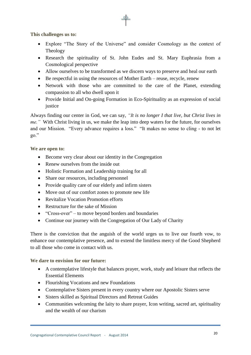**This challenges us to:**

- Explore "The Story of the Universe" and consider Cosmology as the context of Theology
- Research the spirituality of St. John Eudes and St. Mary Euphrasia from a Cosmological perspective
- Allow ourselves to be transformed as we discern ways to preserve and heal our earth
- Be respectful in using the resources of Mother Earth reuse, recycle, renew
- Network with those who are committed to the care of the Planet, extending compassion to all who dwell upon it
- Provide Initial and On-going Formation in Eco-Spirituality as an expression of social justice

Always finding our center in God, we can say, *"It is no longer I that live, but Christ lives in me."* With Christ living in us, we make the leap into deep waters for the future, for ourselves and our Mission. "Every advance requires a loss." "It makes no sense to cling - to not let go."

**We are open to:**

- Become very clear about our identity in the Congregation
- Renew ourselves from the inside out
- Holistic Formation and Leadership training for all
- Share our resources, including personnel
- Provide quality care of our elderly and infirm sisters
- Move out of our comfort zones to promote new life
- Revitalize Vocation Promotion efforts
- Restructure for the sake of Mission
- "Cross-over" to move beyond borders and boundaries
- Continue our journey with the Congregation of Our Lady of Charity

There is the conviction that the anguish of the world urges us to live our fourth vow, to enhance our contemplative presence, and to extend the limitless mercy of the Good Shepherd to all those who come in contact with us.

#### **We dare to envision for our future:**

- A contemplative lifestyle that balances prayer, work, study and leisure that reflects the Essential Elements
- Flourishing Vocations and new Foundations
- Contemplative Sisters present in every country where our Apostolic Sisters serve
- Sisters skilled as Spiritual Directors and Retreat Guides
- Communities welcoming the laity to share prayer, Icon writing, sacred art, spirituality and the wealth of our charism